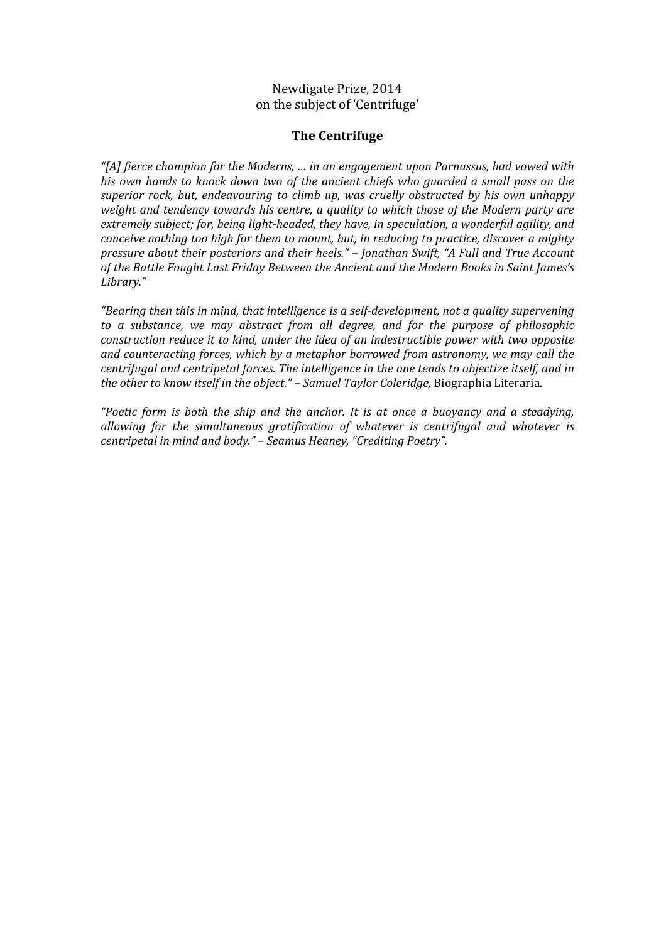# Newdigate Prize, 2014 on the subject of 'Centrifuge'

# **The Centrifuge**

*"[A] fierce champion for the Moderns, … in an engagement upon Parnassus, had vowed with his own hands to knock down two of the ancient chiefs who guarded a small pass on the superior rock, but, endeavouring to climb up, was cruelly obstructed by his own unhappy weight and tendency towards his centre, a quality to which those of the Modern party are extremely subject; for, being light-headed, they have, in speculation, a wonderful agility, and conceive nothing too high for them to mount, but, in reducing to practice, discover a mighty pressure about their posteriors and their heels." – Jonathan Swift, "A Full and True Account of the Battle Fought Last Friday Between the Ancient and the Modern Books in Saint James's Library."* 

*"Bearing then this in mind, that intelligence is a self-development, not a quality supervening to a substance, we may abstract from all degree, and for the purpose of philosophic construction reduce it to kind, under the idea of an indestructible power with two opposite and counteracting forces, which by a metaphor borrowed from astronomy, we may call the centrifugal and centripetal forces. The intelligence in the one tends to objectize itself, and in*  the other to know itself in the object." - Samuel Taylor Coleridge, Biographia Literaria.

*"Poetic form is both the ship and the anchor. It is at once a buoyancy and a steadying, allowing for the simultaneous gratification of whatever is centrifugal and whatever is centripetal in mind and body." – Seamus Heaney, "Crediting Poetry".*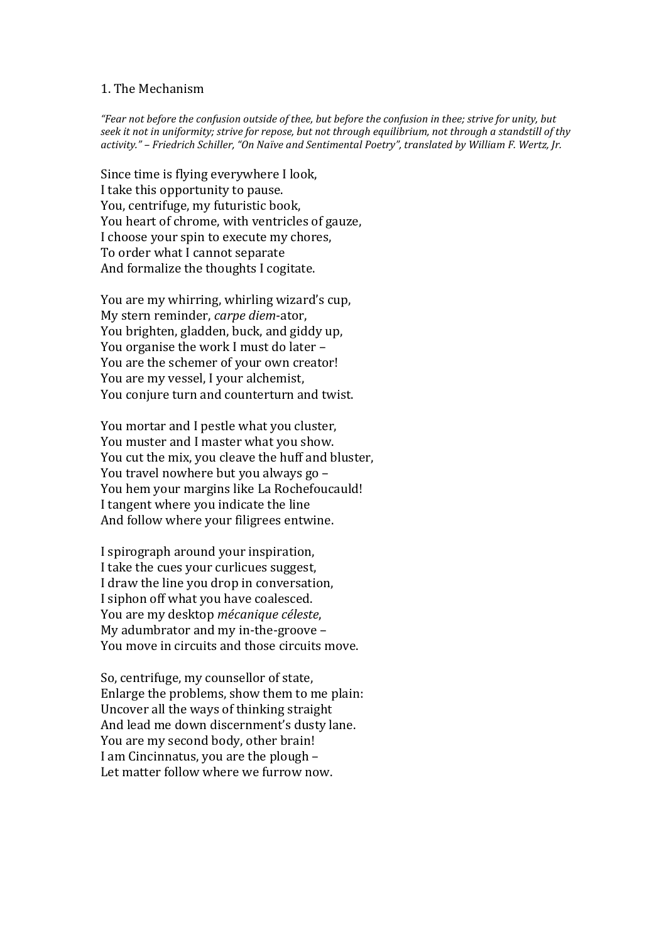### 1. The Mechanism

*"Fear not before the confusion outside of thee, but before the confusion in thee; strive for unity, but seek it not in uniformity; strive for repose, but not through equilibrium, not through a standstill of thy activity." – Friedrich Schiller, "On Naïve and Sentimental Poetry", translated by William F. Wertz, Jr.* 

Since time is flying everywhere I look, I take this opportunity to pause. You, centrifuge, my futuristic book, You heart of chrome, with ventricles of gauze, I choose your spin to execute my chores, To order what I cannot separate And formalize the thoughts I cogitate.

You are my whirring, whirling wizard's cup, My stern reminder, *carpe diem*-ator, You brighten, gladden, buck, and giddy up, You organise the work I must do later – You are the schemer of your own creator! You are my vessel, I your alchemist, You conjure turn and counterturn and twist.

You mortar and I pestle what you cluster, You muster and I master what you show. You cut the mix, you cleave the huff and bluster, You travel nowhere but you always go – You hem your margins like La Rochefoucauld! I tangent where you indicate the line And follow where your filigrees entwine.

I spirograph around your inspiration, I take the cues your curlicues suggest, I draw the line you drop in conversation, I siphon off what you have coalesced. You are my desktop *mécanique céleste*, My adumbrator and my in-the-groove – You move in circuits and those circuits move.

So, centrifuge, my counsellor of state, Enlarge the problems, show them to me plain: Uncover all the ways of thinking straight And lead me down discernment's dusty lane. You are my second body, other brain! I am Cincinnatus, you are the plough – Let matter follow where we furrow now.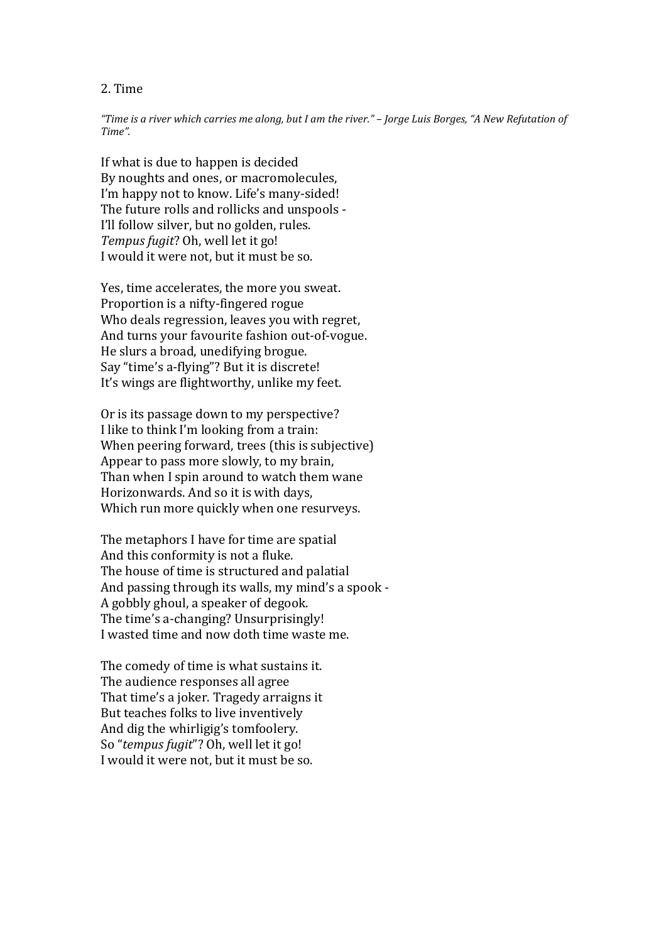### 2. Time

*"Time is a river which carries me along, but I am the river." – Jorge Luis Borges, "A New Refutation of Time".* 

If what is due to happen is decided By noughts and ones, or macromolecules, I'm happy not to know. Life's many-sided! The future rolls and rollicks and unspools - I'll follow silver, but no golden, rules. *Tempus fugit*? Oh, well let it go! I would it were not, but it must be so.

Yes, time accelerates, the more you sweat. Proportion is a nifty-fingered rogue Who deals regression, leaves you with regret, And turns your favourite fashion out-of-vogue. He slurs a broad, unedifying brogue. Say "time's a-flying"? But it is discrete! It's wings are flightworthy, unlike my feet.

Or is its passage down to my perspective? I like to think I'm looking from a train: When peering forward, trees (this is subjective) Appear to pass more slowly, to my brain, Than when I spin around to watch them wane Horizonwards. And so it is with days, Which run more quickly when one resurveys.

The metaphors I have for time are spatial And this conformity is not a fluke. The house of time is structured and palatial And passing through its walls, my mind's a spook - A gobbly ghoul, a speaker of degook. The time's a-changing? Unsurprisingly! I wasted time and now doth time waste me.

The comedy of time is what sustains it. The audience responses all agree That time's a joker. Tragedy arraigns it But teaches folks to live inventively And dig the whirligig's tomfoolery. So "*tempus fugit*"? Oh, well let it go! I would it were not, but it must be so.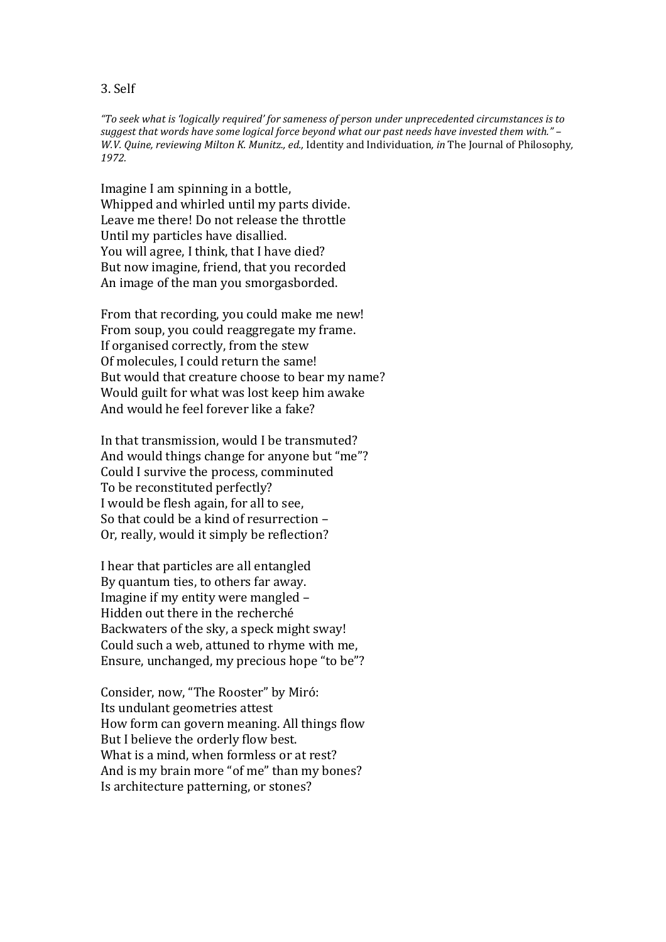#### 3. Self

*"To seek what is 'logically required' for sameness of person under unprecedented circumstances is to suggest that words have some logical force beyond what our past needs have invested them with." – W.V. Quine, reviewing Milton K. Munitz., ed.,* Identity and Individuation*, in* The Journal of Philosophy*, 1972.* 

Imagine I am spinning in a bottle, Whipped and whirled until my parts divide. Leave me there! Do not release the throttle Until my particles have disallied. You will agree, I think, that I have died? But now imagine, friend, that you recorded An image of the man you smorgasborded.

From that recording, you could make me new! From soup, you could reaggregate my frame. If organised correctly, from the stew Of molecules, I could return the same! But would that creature choose to bear my name? Would guilt for what was lost keep him awake And would he feel forever like a fake?

In that transmission, would I be transmuted? And would things change for anyone but "me"? Could I survive the process, comminuted To be reconstituted perfectly? I would be flesh again, for all to see, So that could be a kind of resurrection – Or, really, would it simply be reflection?

I hear that particles are all entangled By quantum ties, to others far away. Imagine if my entity were mangled – Hidden out there in the recherché Backwaters of the sky, a speck might sway! Could such a web, attuned to rhyme with me, Ensure, unchanged, my precious hope "to be"?

Consider, now, "The Rooster" by Miró: Its undulant geometries attest How form can govern meaning. All things flow But I believe the orderly flow best. What is a mind, when formless or at rest? And is my brain more "of me" than my bones? Is architecture patterning, or stones?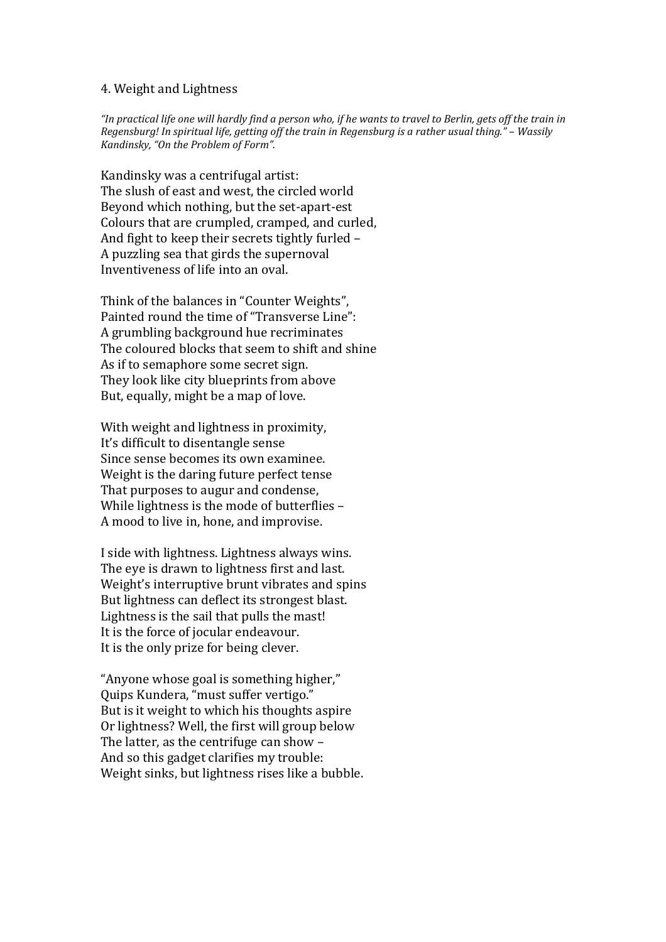### 4. Weight and Lightness

*"In practical life one will hardly find a person who, if he wants to travel to Berlin, gets off the train in Regensburg! In spiritual life, getting off the train in Regensburg is a rather usual thing." – Wassily Kandinsky, "On the Problem of Form".* 

Kandinsky was a centrifugal artist: The slush of east and west, the circled world Beyond which nothing, but the set-apart-est Colours that are crumpled, cramped, and curled, And fight to keep their secrets tightly furled – A puzzling sea that girds the supernoval Inventiveness of life into an oval.

Think of the balances in "Counter Weights", Painted round the time of "Transverse Line": A grumbling background hue recriminates The coloured blocks that seem to shift and shine As if to semaphore some secret sign. They look like city blueprints from above But, equally, might be a map of love.

With weight and lightness in proximity, It's difficult to disentangle sense Since sense becomes its own examinee. Weight is the daring future perfect tense That purposes to augur and condense, While lightness is the mode of butterflies – A mood to live in, hone, and improvise.

I side with lightness. Lightness always wins. The eye is drawn to lightness first and last. Weight's interruptive brunt vibrates and spins But lightness can deflect its strongest blast. Lightness is the sail that pulls the mast! It is the force of jocular endeavour. It is the only prize for being clever.

"Anyone whose goal is something higher," Quips Kundera, "must suffer vertigo." But is it weight to which his thoughts aspire Or lightness? Well, the first will group below The latter, as the centrifuge can show – And so this gadget clarifies my trouble: Weight sinks, but lightness rises like a bubble.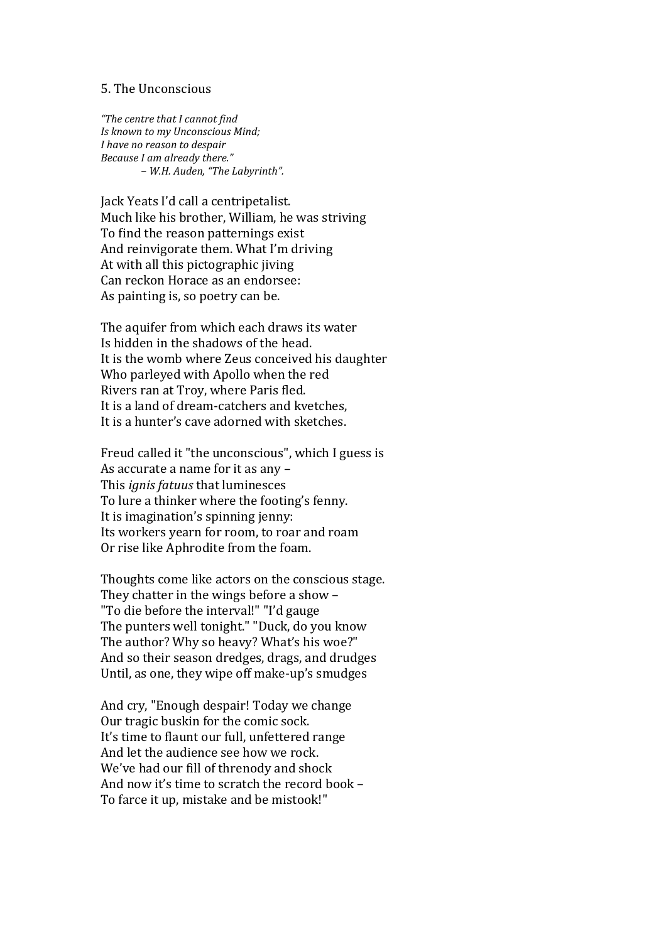#### 5. The Unconscious

*"The centre that I cannot find Is known to my Unconscious Mind; I have no reason to despair Because I am already there." – W.H. Auden, "The Labyrinth".* 

Jack Yeats I'd call a centripetalist. Much like his brother, William, he was striving To find the reason patternings exist And reinvigorate them. What I'm driving At with all this pictographic jiving Can reckon Horace as an endorsee: As painting is, so poetry can be.

The aquifer from which each draws its water Is hidden in the shadows of the head. It is the womb where Zeus conceived his daughter Who parleyed with Apollo when the red Rivers ran at Troy, where Paris fled. It is a land of dream-catchers and kvetches, It is a hunter's cave adorned with sketches.

Freud called it "the unconscious", which I guess is As accurate a name for it as any – This *ignis fatuus* that luminesces To lure a thinker where the footing's fenny. It is imagination's spinning jenny: Its workers yearn for room, to roar and roam Or rise like Aphrodite from the foam.

Thoughts come like actors on the conscious stage. They chatter in the wings before a show – "To die before the interval!" "I'd gauge The punters well tonight." "Duck, do you know The author? Why so heavy? What's his woe?" And so their season dredges, drags, and drudges Until, as one, they wipe off make-up's smudges

And cry, "Enough despair! Today we change Our tragic buskin for the comic sock. It's time to flaunt our full, unfettered range And let the audience see how we rock. We've had our fill of threnody and shock And now it's time to scratch the record book – To farce it up, mistake and be mistook!"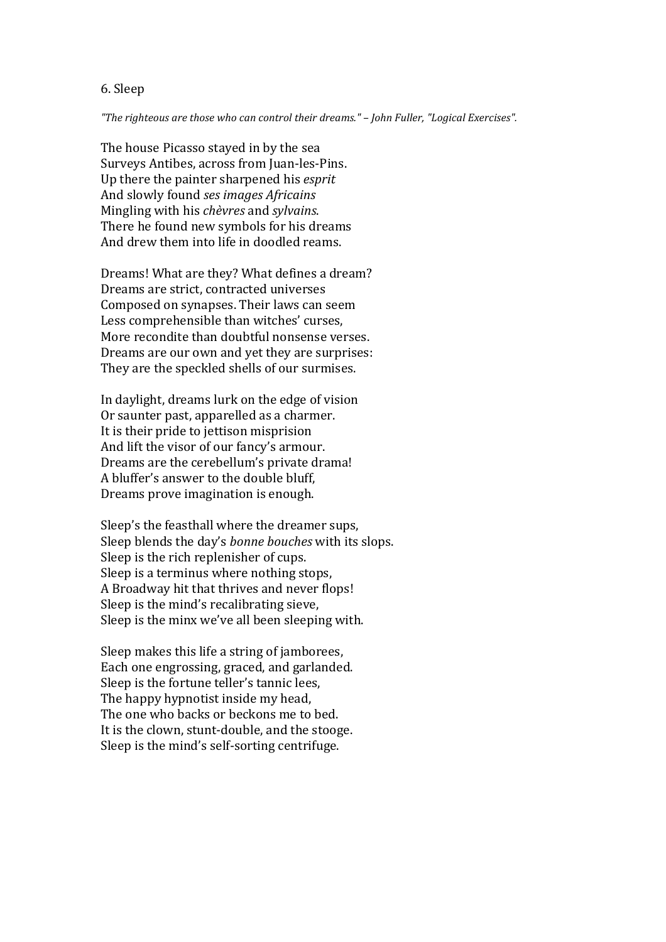# 6. Sleep

*"The righteous are those who can control their dreams." – John Fuller, "Logical Exercises".* 

The house Picasso stayed in by the sea Surveys Antibes, across from Juan-les-Pins. Up there the painter sharpened his *esprit* And slowly found *ses images Africains* Mingling with his *chèvres* and *sylvains*. There he found new symbols for his dreams And drew them into life in doodled reams.

Dreams! What are they? What defines a dream? Dreams are strict, contracted universes Composed on synapses. Their laws can seem Less comprehensible than witches' curses, More recondite than doubtful nonsense verses. Dreams are our own and yet they are surprises: They are the speckled shells of our surmises.

In daylight, dreams lurk on the edge of vision Or saunter past, apparelled as a charmer. It is their pride to jettison misprision And lift the visor of our fancy's armour. Dreams are the cerebellum's private drama! A bluffer's answer to the double bluff, Dreams prove imagination is enough.

Sleep's the feasthall where the dreamer sups, Sleep blends the day's *bonne bouches* with its slops. Sleep is the rich replenisher of cups. Sleep is a terminus where nothing stops, A Broadway hit that thrives and never flops! Sleep is the mind's recalibrating sieve, Sleep is the minx we've all been sleeping with.

Sleep makes this life a string of jamborees, Each one engrossing, graced, and garlanded. Sleep is the fortune teller's tannic lees, The happy hypnotist inside my head, The one who backs or beckons me to bed. It is the clown, stunt-double, and the stooge. Sleep is the mind's self-sorting centrifuge.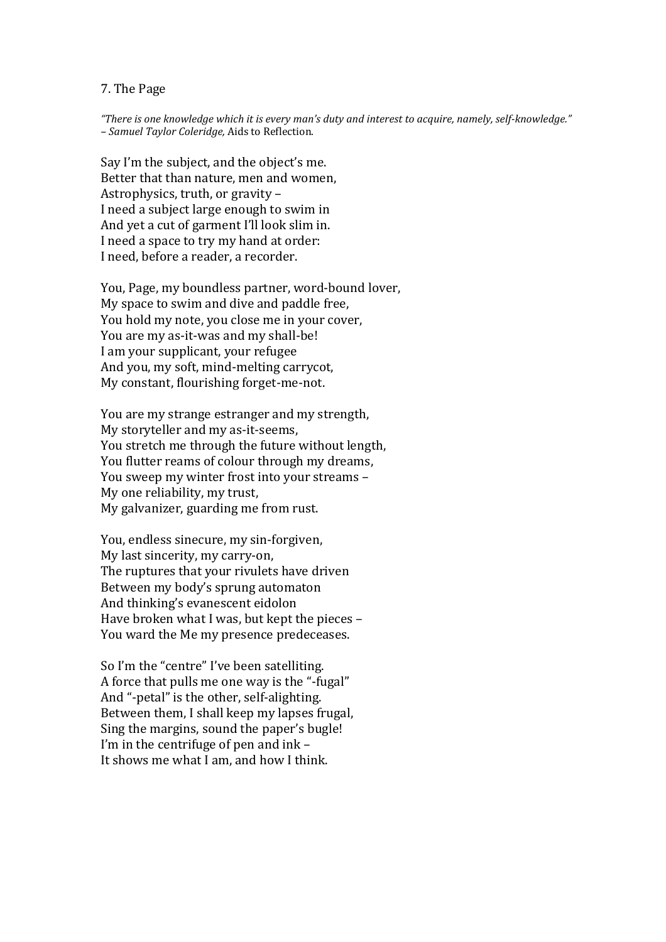### 7. The Page

*"There is one knowledge which it is every man's duty and interest to acquire, namely, self-knowledge." – Samuel Taylor Coleridge,* Aids to Reflection.

Say I'm the subject, and the object's me. Better that than nature, men and women, Astrophysics, truth, or gravity – I need a subject large enough to swim in And yet a cut of garment I'll look slim in. I need a space to try my hand at order: I need, before a reader, a recorder.

You, Page, my boundless partner, word-bound lover, My space to swim and dive and paddle free, You hold my note, you close me in your cover, You are my as-it-was and my shall-be! I am your supplicant, your refugee And you, my soft, mind-melting carrycot, My constant, flourishing forget-me-not.

You are my strange estranger and my strength, My storyteller and my as-it-seems, You stretch me through the future without length, You flutter reams of colour through my dreams, You sweep my winter frost into your streams – My one reliability, my trust, My galvanizer, guarding me from rust.

You, endless sinecure, my sin-forgiven, My last sincerity, my carry-on, The ruptures that your rivulets have driven Between my body's sprung automaton And thinking's evanescent eidolon Have broken what I was, but kept the pieces – You ward the Me my presence predeceases.

So I'm the "centre" I've been satelliting. A force that pulls me one way is the "-fugal" And "-petal" is the other, self-alighting. Between them, I shall keep my lapses frugal, Sing the margins, sound the paper's bugle! I'm in the centrifuge of pen and ink – It shows me what I am, and how I think.